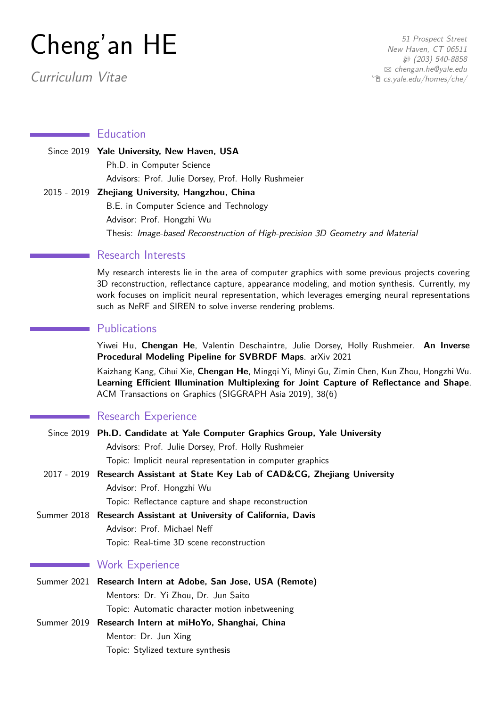# Cheng'an HE

Curriculum Vitae

#### **Education**

Since 2019 **Yale University, New Haven, USA** Ph.D. in Computer Science Advisors: Prof. Julie Dorsey, Prof. Holly Rushmeier 2015 - 2019 **Zhejiang University, Hangzhou, China** B.E. in Computer Science and Technology Advisor: Prof. Hongzhi Wu Thesis: Image-based Reconstruction of High-precision 3D Geometry and Material

## Research Interests

My research interests lie in the area of computer graphics with some previous projects covering 3D reconstruction, reflectance capture, appearance modeling, and motion synthesis. Currently, my work focuses on implicit neural representation, which leverages emerging neural representations such as NeRF and SIREN to solve inverse rendering problems.

## **Publications**

Yiwei Hu, **Chengan He**, Valentin Deschaintre, Julie Dorsey, Holly Rushmeier. **An Inverse Procedural Modeling Pipeline for SVBRDF Maps**. arXiv 2021

Kaizhang Kang, Cihui Xie, **Chengan He**, Mingqi Yi, Minyi Gu, Zimin Chen, Kun Zhou, Hongzhi Wu. **Learning Efficient Illumination Multiplexing for Joint Capture of Reflectance and Shape**. ACM Transactions on Graphics (SIGGRAPH Asia 2019), 38(6)

#### Research Experience

| Since 2019 Ph.D. Candidate at Yale Computer Graphics Group, Yale University    |  |  |
|--------------------------------------------------------------------------------|--|--|
| Advisors: Prof. Julie Dorsey, Prof. Holly Rushmeier                            |  |  |
| Topic: Implicit neural representation in computer graphics                     |  |  |
| 2017 - 2019 Research Assistant at State Key Lab of CAD&CG, Zhejiang University |  |  |
| Advisor: Prof. Hongzhi Wu                                                      |  |  |
| Topic: Reflectance capture and shape reconstruction                            |  |  |
| Summer 2018 Research Assistant at University of California, Davis              |  |  |
| Advisor: Prof. Michael Neff                                                    |  |  |
| Topic: Real-time 3D scene reconstruction                                       |  |  |
| <b>Work Experience</b>                                                         |  |  |
| Summer 2021 Research Intern at Adobe, San Jose, USA (Remote)                   |  |  |
| Mentors: Dr. Yi Zhou, Dr. Jun Saito                                            |  |  |
| Topic: Automatic character motion inbetweening                                 |  |  |
| Summer 2019 Research Intern at miHoYo, Shanghai, China                         |  |  |
| Mentor: Dr. Jun Xing                                                           |  |  |

Topic: Stylized texture synthesis